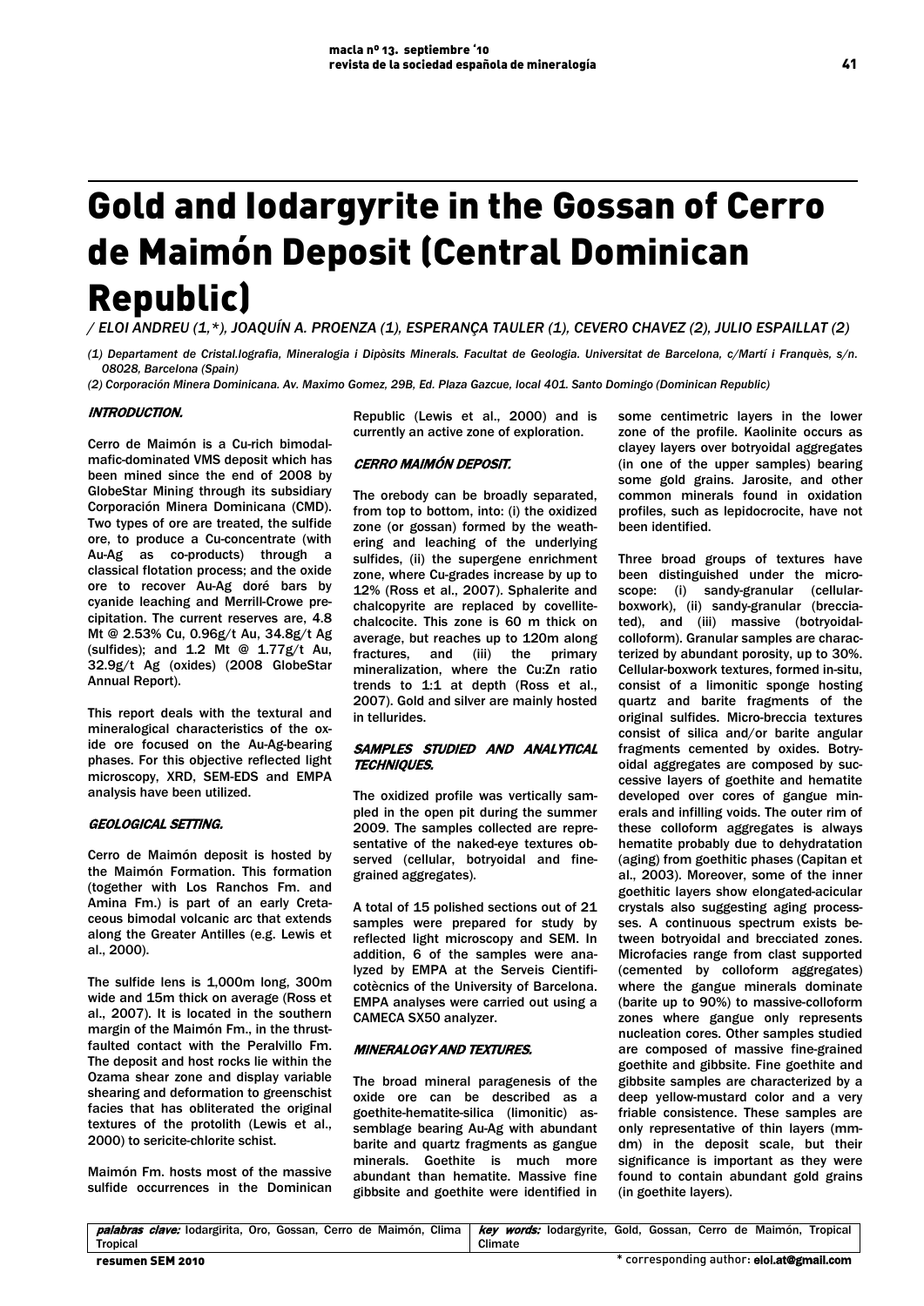# Gold and Iodargyrite in the Gossan of Cerro de Maimón Deposit (Central Dominican Republic)

*/ ELOI ANDREU (1,\*), JOAQUÍN A. PROENZA (1), ESPERANÇA TAULER (1), CEVERO CHAVEZ (2), JULIO ESPAILLAT (2)*

*(1) Departament de Cristal.lografia, Mineralogia i Dipòsits Minerals. Facultat de Geologia. Universitat de Barcelona, c/Martí i Franquès, s/n. 08028, Barcelona (Spain)*

*(2) Corporación Minera Dominicana. Av. Maximo Gomez, 29B, Ed. Plaza Gazcue, local 401. Santo Domingo (Dominican Republic)*

## INTRODUCTION.

Cerro de Maimón is a Cu-rich bimodalmafic-dominated VMS deposit which has been mined since the end of 2008 by GlobeStar Mining through its subsidiary Corporación Minera Dominicana (CMD). Two types of ore are treated, the sulfide ore, to produce a Cu-concentrate (with Au-Ag as co-products) through a classical flotation process; and the oxide ore to recover Au-Ag doré bars by cyanide leaching and Merrill-Crowe precipitation. The current reserves are, 4.8 Mt @ 2.53% Cu, 0.96g/t Au, 34.8g/t Ag (sulfides); and  $1.2$  Mt @  $1.77g/t$  Au, 32.9g/t Ag (oxides) (2008 GlobeStar Annual Report).

This report deals with the textural and mineralogical characteristics of the oxide ore focused on the Au-Ag-bearing phases. For this objective reflected light microscopy, XRD, SEM-EDS and EMPA analysis have been utilized.

## GEOLOGICAL SETTING.

Cerro de Maimón deposit is hosted by the Maimón Formation. This formation (together with Los Ranchos Fm. and Amina Fm.) is part of an early Cretaceous bimodal volcanic arc that extends along the Greater Antilles (e.g. Lewis et al., 2000).

The sulfide lens is 1,000m long, 300m wide and 15m thick on average (Ross et al., 2007). It is located in the southern margin of the Maimón Fm., in the thrustfaulted contact with the Peralvillo Fm. The deposit and host rocks lie within the Ozama shear zone and display variable shearing and deformation to greenschist facies that has obliterated the original textures of the protolith (Lewis et al., 2000) to sericite-chlorite schist.

Maimón Fm. hosts most of the massive sulfide occurrences in the Dominican Republic (Lewis et al., 2000) and is currently an active zone of exploration.

#### CERRO MAIMÓN DEPOSIT.

The orebody can be broadly separated, from top to bottom, into: (i) the oxidized zone (or gossan) formed by the weathering and leaching of the underlying sulfides, (ii) the supergene enrichment zone, where Cu-grades increase by up to 12% (Ross et al., 2007). Sphalerite and chalcopyrite are replaced by covellitechalcocite. This zone is 60 m thick on average, but reaches up to 120m along fractures, and (iii) the mineralization, where the Cu:Zn ratio trends to 1:1 at depth (Ross et al., 2007). Gold and silver are mainly hosted in tellurides.

## SAMPLES STUDIED AND ANALYTICAL TECHNIQUES.

The oxidized profile was vertically sampled in the open pit during the summer 2009. The samples collected are representative of the naked-eye textures observed (cellular, botryoidal and finegrained aggregates).

A total of 15 polished sections out of 21 samples were prepared for study by reflected light microscopy and SEM. In addition, 6 of the samples were analyzed by EMPA at the Serveis Cientificotècnics of the University of Barcelona. EMPA analyses were carried out using a CAMECA SX50 analyzer.

#### MINERALOGY AND TEXTURES.

The broad mineral paragenesis of the oxide ore can be described as a goethite-hematite-silica (limonitic) assemblage bearing Au-Ag with abundant barite and quartz fragments as gangue minerals. Goethite is much more abundant than hematite. Massive fine gibbsite and goethite were identified in

some centimetric layers in the lower zone of the profile. Kaolinite occurs as clayey layers over botryoidal aggregates (in one of the upper samples) bearing some gold grains. Jarosite, and other common minerals found in oxidation profiles, such as lepidocrocite, have not been identified.

Three broad groups of textures have been distinguished under the microscope: (i) sandy-granular (cellularboxwork), (ii) sandy-granular (brecciated), and (iii) massive (botryoidalcolloform). Granular samples are characterized by abundant porosity, up to 30%. Cellular-boxwork textures, formed in-situ, consist of a limonitic sponge hosting quartz and barite fragments of the original sulfides. Micro-breccia textures consist of silica and/or barite angular fragments cemented by oxides. Botryoidal aggregates are composed by successive layers of goethite and hematite developed over cores of gangue minerals and infilling voids. The outer rim of these colloform aggregates is always hematite probably due to dehydratation (aging) from goethitic phases (Capitan et al., 2003). Moreover, some of the inner goethitic layers show elongated-acicular crystals also suggesting aging processses. A continuous spectrum exists between botryoidal and brecciated zones. Microfacies range from clast supported (cemented by colloform aggregates) where the gangue minerals dominate (barite up to 90%) to massive-colloform zones where gangue only represents nucleation cores. Other samples studied are composed of massive fine-grained goethite and gibbsite. Fine goethite and gibbsite samples are characterized by a deep yellow-mustard color and a very friable consistence. These samples are only representative of thin layers (mmdm) in the deposit scale, but their significance is important as they were found to contain abundant gold grains (in goethite layers).

palabras clave: Iodargirita, Oro, Gossan, Cerro de Maimón, Clima **Tropical** key words: lodargyrite, Gold, Gossan, Cerro de Maimón, Tropical Climate resumen SEM 2010 \* corresponding author: eloi.at@gmail.com